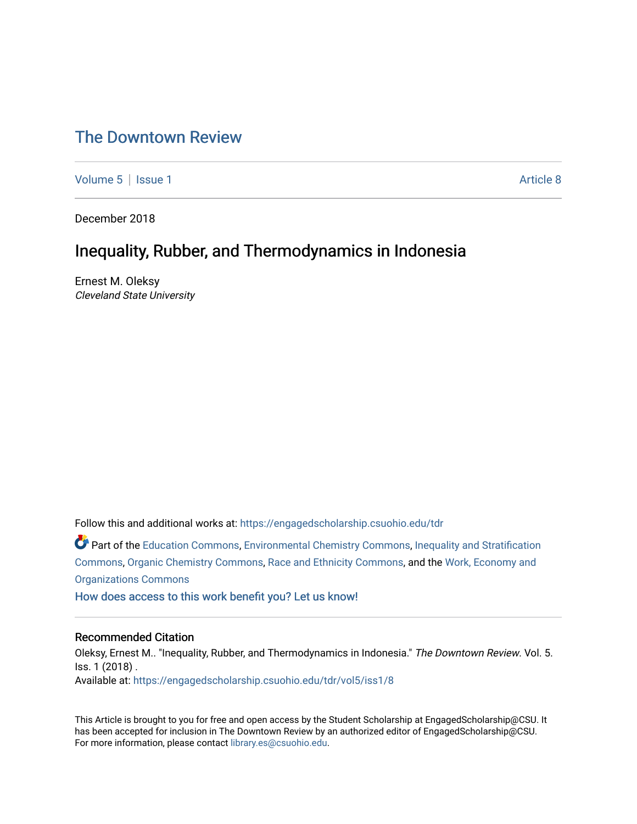# [The Downtown Review](https://engagedscholarship.csuohio.edu/tdr)

[Volume 5](https://engagedscholarship.csuohio.edu/tdr/vol5) | [Issue 1](https://engagedscholarship.csuohio.edu/tdr/vol5/iss1) Article 8

December 2018

# Inequality, Rubber, and Thermodynamics in Indonesia

Ernest M. Oleksy Cleveland State University

Follow this and additional works at: [https://engagedscholarship.csuohio.edu/tdr](https://engagedscholarship.csuohio.edu/tdr?utm_source=engagedscholarship.csuohio.edu%2Ftdr%2Fvol5%2Fiss1%2F8&utm_medium=PDF&utm_campaign=PDFCoverPages) 

Part of the [Education Commons](http://network.bepress.com/hgg/discipline/784?utm_source=engagedscholarship.csuohio.edu%2Ftdr%2Fvol5%2Fiss1%2F8&utm_medium=PDF&utm_campaign=PDFCoverPages), [Environmental Chemistry Commons](http://network.bepress.com/hgg/discipline/134?utm_source=engagedscholarship.csuohio.edu%2Ftdr%2Fvol5%2Fiss1%2F8&utm_medium=PDF&utm_campaign=PDFCoverPages), [Inequality and Stratification](http://network.bepress.com/hgg/discipline/421?utm_source=engagedscholarship.csuohio.edu%2Ftdr%2Fvol5%2Fiss1%2F8&utm_medium=PDF&utm_campaign=PDFCoverPages) [Commons](http://network.bepress.com/hgg/discipline/421?utm_source=engagedscholarship.csuohio.edu%2Ftdr%2Fvol5%2Fiss1%2F8&utm_medium=PDF&utm_campaign=PDFCoverPages), [Organic Chemistry Commons](http://network.bepress.com/hgg/discipline/138?utm_source=engagedscholarship.csuohio.edu%2Ftdr%2Fvol5%2Fiss1%2F8&utm_medium=PDF&utm_campaign=PDFCoverPages), [Race and Ethnicity Commons,](http://network.bepress.com/hgg/discipline/426?utm_source=engagedscholarship.csuohio.edu%2Ftdr%2Fvol5%2Fiss1%2F8&utm_medium=PDF&utm_campaign=PDFCoverPages) and the [Work, Economy and](http://network.bepress.com/hgg/discipline/433?utm_source=engagedscholarship.csuohio.edu%2Ftdr%2Fvol5%2Fiss1%2F8&utm_medium=PDF&utm_campaign=PDFCoverPages)  [Organizations Commons](http://network.bepress.com/hgg/discipline/433?utm_source=engagedscholarship.csuohio.edu%2Ftdr%2Fvol5%2Fiss1%2F8&utm_medium=PDF&utm_campaign=PDFCoverPages)

[How does access to this work benefit you? Let us know!](http://library.csuohio.edu/engaged/)

#### Recommended Citation

Oleksy, Ernest M.. "Inequality, Rubber, and Thermodynamics in Indonesia." The Downtown Review. Vol. 5. Iss. 1 (2018) . Available at: [https://engagedscholarship.csuohio.edu/tdr/vol5/iss1/8](https://engagedscholarship.csuohio.edu/tdr/vol5/iss1/8?utm_source=engagedscholarship.csuohio.edu%2Ftdr%2Fvol5%2Fiss1%2F8&utm_medium=PDF&utm_campaign=PDFCoverPages) 

This Article is brought to you for free and open access by the Student Scholarship at EngagedScholarship@CSU. It has been accepted for inclusion in The Downtown Review by an authorized editor of EngagedScholarship@CSU. For more information, please contact [library.es@csuohio.edu.](mailto:library.es@csuohio.edu)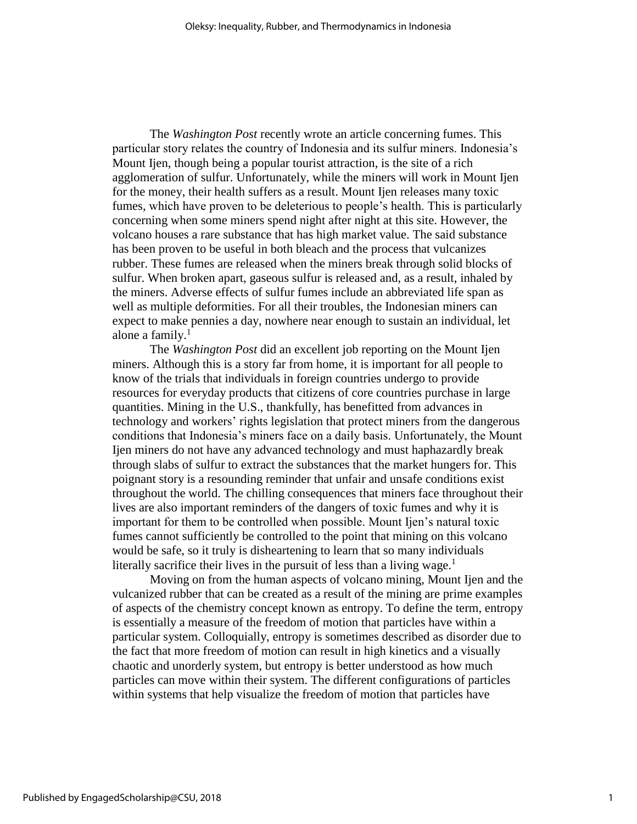The *Washington Post* recently wrote an article concerning fumes. This particular story relates the country of Indonesia and its sulfur miners. Indonesia's Mount Ijen, though being a popular tourist attraction, is the site of a rich agglomeration of sulfur. Unfortunately, while the miners will work in Mount Ijen for the money, their health suffers as a result. Mount Ijen releases many toxic fumes, which have proven to be deleterious to people's health. This is particularly concerning when some miners spend night after night at this site. However, the volcano houses a rare substance that has high market value. The said substance has been proven to be useful in both bleach and the process that vulcanizes rubber. These fumes are released when the miners break through solid blocks of sulfur. When broken apart, gaseous sulfur is released and, as a result, inhaled by the miners. Adverse effects of sulfur fumes include an abbreviated life span as well as multiple deformities. For all their troubles, the Indonesian miners can expect to make pennies a day, nowhere near enough to sustain an individual, let alone a family. $<sup>1</sup>$ </sup>

The *Washington Post* did an excellent job reporting on the Mount Ijen miners. Although this is a story far from home, it is important for all people to know of the trials that individuals in foreign countries undergo to provide resources for everyday products that citizens of core countries purchase in large quantities. Mining in the U.S., thankfully, has benefitted from advances in technology and workers' rights legislation that protect miners from the dangerous conditions that Indonesia's miners face on a daily basis. Unfortunately, the Mount Ijen miners do not have any advanced technology and must haphazardly break through slabs of sulfur to extract the substances that the market hungers for. This poignant story is a resounding reminder that unfair and unsafe conditions exist throughout the world. The chilling consequences that miners face throughout their lives are also important reminders of the dangers of toxic fumes and why it is important for them to be controlled when possible. Mount Ijen's natural toxic fumes cannot sufficiently be controlled to the point that mining on this volcano would be safe, so it truly is disheartening to learn that so many individuals literally sacrifice their lives in the pursuit of less than a living wage.<sup>1</sup>

Moving on from the human aspects of volcano mining, Mount Ijen and the vulcanized rubber that can be created as a result of the mining are prime examples of aspects of the chemistry concept known as entropy. To define the term, entropy is essentially a measure of the freedom of motion that particles have within a particular system. Colloquially, entropy is sometimes described as disorder due to the fact that more freedom of motion can result in high kinetics and a visually chaotic and unorderly system, but entropy is better understood as how much particles can move within their system. The different configurations of particles within systems that help visualize the freedom of motion that particles have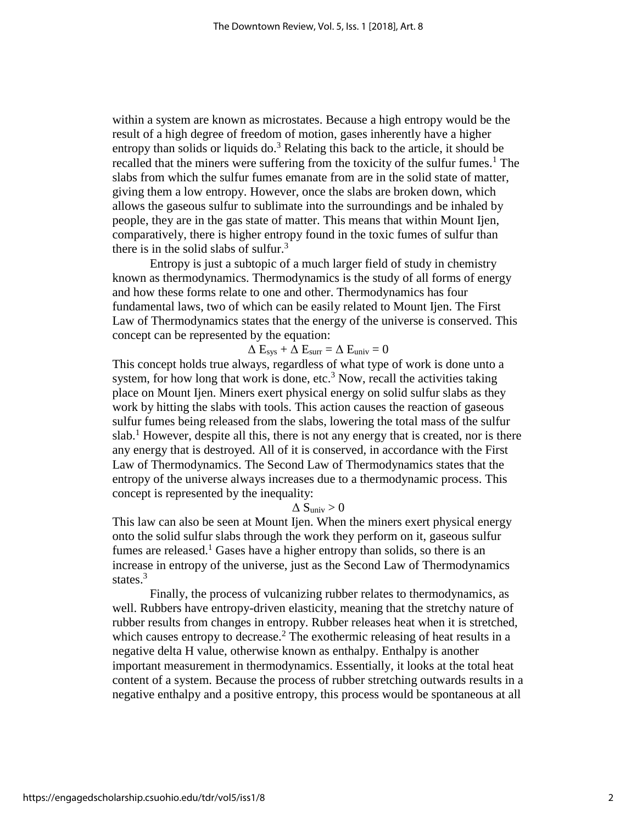within a system are known as microstates. Because a high entropy would be the result of a high degree of freedom of motion, gases inherently have a higher entropy than solids or liquids  $\delta$ .<sup>3</sup> Relating this back to the article, it should be recalled that the miners were suffering from the toxicity of the sulfur fumes.<sup>1</sup> The slabs from which the sulfur fumes emanate from are in the solid state of matter, giving them a low entropy. However, once the slabs are broken down, which allows the gaseous sulfur to sublimate into the surroundings and be inhaled by people, they are in the gas state of matter. This means that within Mount Ijen, comparatively, there is higher entropy found in the toxic fumes of sulfur than there is in the solid slabs of sulfur.<sup>3</sup>

Entropy is just a subtopic of a much larger field of study in chemistry known as thermodynamics. Thermodynamics is the study of all forms of energy and how these forms relate to one and other. Thermodynamics has four fundamental laws, two of which can be easily related to Mount Ijen. The First Law of Thermodynamics states that the energy of the universe is conserved. This concept can be represented by the equation:

#### $\Delta E_{sys} + \Delta E_{surr} = \Delta E_{univ} = 0$

This concept holds true always, regardless of what type of work is done unto a system, for how long that work is done, etc.<sup>3</sup> Now, recall the activities taking place on Mount Ijen. Miners exert physical energy on solid sulfur slabs as they work by hitting the slabs with tools. This action causes the reaction of gaseous sulfur fumes being released from the slabs, lowering the total mass of the sulfur slab.<sup>1</sup> However, despite all this, there is not any energy that is created, nor is there any energy that is destroyed. All of it is conserved, in accordance with the First Law of Thermodynamics. The Second Law of Thermodynamics states that the entropy of the universe always increases due to a thermodynamic process. This concept is represented by the inequality:

 $\Delta$  Suniv  $> 0$ 

This law can also be seen at Mount Ijen. When the miners exert physical energy onto the solid sulfur slabs through the work they perform on it, gaseous sulfur fumes are released.<sup>1</sup> Gases have a higher entropy than solids, so there is an increase in entropy of the universe, just as the Second Law of Thermodynamics states. $3$ 

Finally, the process of vulcanizing rubber relates to thermodynamics, as well. Rubbers have entropy-driven elasticity, meaning that the stretchy nature of rubber results from changes in entropy. Rubber releases heat when it is stretched, which causes entropy to decrease.<sup>2</sup> The exothermic releasing of heat results in a negative delta H value, otherwise known as enthalpy. Enthalpy is another important measurement in thermodynamics. Essentially, it looks at the total heat content of a system. Because the process of rubber stretching outwards results in a negative enthalpy and a positive entropy, this process would be spontaneous at all